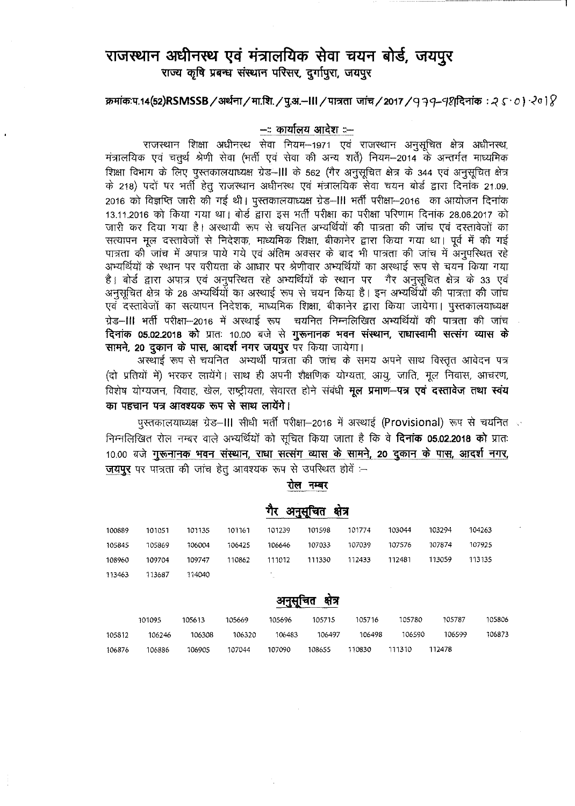# राजस्थान अधीनस्थ एवं मंत्रालयिक सेवा चयन बोर्ड, जयपुर राज्य कृषि प्रबन्ध संस्थान परिसर, दुर्गापूरा, जयपूर

 $\pi$ मांक:प.14(52)RSMSSB / अर्थना / मा.शि. / पू.अ.-III / पात्रता जांच / 2017 / 9 79-98दिनांक: २ ८  $\cdot$  *o*)  $\cdot$  *2*0 1  $\%$ 

#### **-:: ij)llIfti1l1 ~ ::-**

राजस्थान शिक्षा अधीनस्थ सेवा नियम-1971 एवं राजस्थान अनुसूचित क्षेत्र अधीनस्थ, राजस्थान शिक्षा अधीनस्थ सेवा नियम—1971 एवं राजस्थान अनुसूचित क्षेत्र अ<br>मंत्रालयिक एवं चतुर्थ श्रेणी सेवा (भर्ती एवं सेवा की अन्य शर्ते) नियम—2014 के अन्तर्गत म मत्रालायक एव चतुर्थ श्रणा सवा (मता एव सवा का अन्य शत) ।नयम–2014 के अन्तगत माध्याम<br>शिक्षा विभाग के लिए पुस्तकालयाध्यक्ष ग्रेड–**।॥** के 562 (गैर अनुसूचित क्षेत्र के 344 एवं अनुसूचित क्षे के 218) पदों पर भर्ती हेतु राजस्थान अधीनस्थ एवं मंत्रालयिक सेवा चयन बोर्ड द्वारा दिनांक 21.09. 2016 को विज्ञप्ति जारी की गई थी। पुस्तकालयाध्यक्ष ग्रेड–III भर्ती परीक्षा–2016 का आयोजन दिनांक 13.11.2016 को किया गया था। बोर्ड द्वारा इस भर्ती परीक्षा का परीक्षा परिणाम दिनांक 28.06.2017 को जारी कर दिया गया है। अस्थायी रूप से चयनित अभ्यर्थियों की पात्रता की जांच एवं दस्तावेजों का सत्यापन मूल दस्तावेजों से निदेशक, माध्यमिक शिक्षा, बीकानेर द्वारा किया गया था। पूर्व में की गई पात्रता की जांच में अपात्र पाये गये एवं अंतिम अवसर के बाद भी पात्रता की जांच में अनुपरिथत रहे अभ्यर्थियों के स्थान पर वरीयता के आधार पर श्रेणीवार अभ्यर्थियों का अस्थाई रूप से चयन किया गया अभ्यार्थया के स्थान पर वरीयता के आधार पर श्रंणीवार अभ्यार्थयों का अस्थाइ रूप से चयन किया गया<br>है। बोर्ड द्वारा अपात्र एवं अनुपस्थित रहे अभ्यर्थियों के स्थान पर गैर अनुसूचित क्षेत्र के 33 एवं अनुसूचित क्षेत्र के 28 अभ्यर्थियों का अस्थाई रूप से चयन किया है। इन अभ्यर्थियों की पात्रता की जांच एवँ दस्तावेजों का सत्यापन निदेशक, माध्यमिक शिक्षा, बीकानेर द्वारा किया जायेगा। पुस्तकालयाध्यक्ष ग्रेड–III भर्ती परीक्षा–2016 में अस्थाई रूप चयनित निम्नलिखित अभ्यर्थियों की पात्रता की जांच **दिनांक 05.02.2018 को** प्रातः 10.00 बजे से **गुरूनानक भवन संस्थान, राधास्वामी सत्संग व्यास के सामने, 20 दुकान के पास, आदर्श नगर जयपुर** पर किया जायेगा।

अस्थाई रूप से चयनित अभ्यर्थी पात्रता की जांच के समय अपने साथ विस्तृत आवेदन पत्र (दो प्रतियों में) भरकर लायेंगे। साथ ही अपनी शैक्षणिक योग्यता, आयू, जाति, मूल निवास, आचरण, विशेष योग्यजन, विवाह, खेल, राष्ट्रीयता, सेवारत होने संबंधी **मूल प्रमाण-पत्र एवं दस्तावेज तथा स्वंय** Cj)f ~ **li?f 3l1q1l1lij) "i(i)"q"~ <sup>~</sup> <sup>~</sup>** I

पस्तकालयाध्यक्ष ग्रेड–III सीधी भर्ती परीक्षा–2016 में अस्थाई (Provisional) रूप से चयनित निम्नलिखित रोल नम्बर वाले अभ्यर्थियों को सूचित किया जाता है कि वे **दिनांक 05.02.2018 को** प्रातः 10.00 बजे गुरूनानक भवन संस्थान, राधा सत्संग व्यास के सामने, 20 दुकान के पास, आदर्श नगर, जयपुर पर पात्रता की जांच हेतू आवश्यक रूप से उपस्थित होवें :--

रोल नम्बर

|        |        |        |        |              | - -    |        |        |        |        |
|--------|--------|--------|--------|--------------|--------|--------|--------|--------|--------|
| 100889 | 101051 | 101135 | 101161 | 101239       | 101598 | 101774 | 103044 | 103294 | 104263 |
| 105845 | 105869 | 106004 | 106425 | 106646       | 107033 | 107039 | 107576 | 107874 | 107925 |
| 108960 | 109704 | 109747 | 110862 | 111012       | 111330 | 112433 | 112481 | 113059 | 113135 |
| 113463 | 113687 | 114040 |        | $\mathbf{r}$ |        |        |        |        |        |

#### गैर अनसचित क्षेत्र

## अनुसूचित क्षेत्र

|        | 101095 | 105613 | 105669 | 105696 | 105715 | 105716 | 105780 | 105787 | 105806 |
|--------|--------|--------|--------|--------|--------|--------|--------|--------|--------|
| 105812 | 106246 | 106308 | 106320 | 106483 | 106497 | 106498 | 106590 | 106599 | 106873 |
| 106876 | 106886 | 106905 | 107044 | 107090 | 108655 | 110830 | 111310 | 112478 |        |